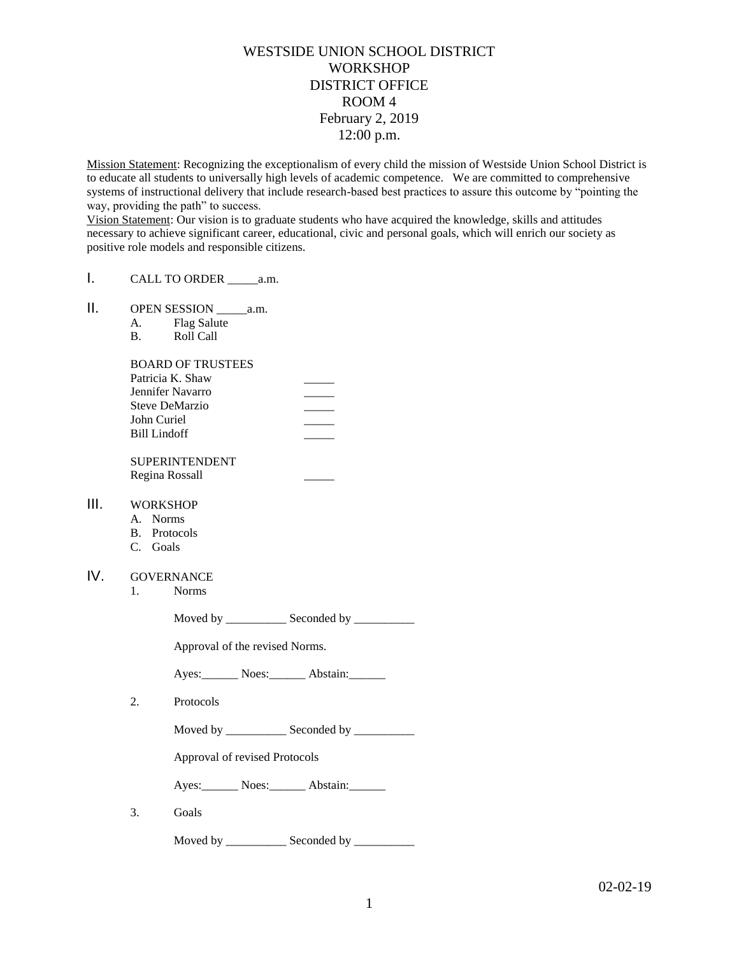# WESTSIDE UNION SCHOOL DISTRICT **WORKSHOP** DISTRICT OFFICE ROOM 4 February 2, 2019 12:00 p.m.

Mission Statement: Recognizing the exceptionalism of every child the mission of Westside Union School District is to educate all students to universally high levels of academic competence. We are committed to comprehensive systems of instructional delivery that include research-based best practices to assure this outcome by "pointing the way, providing the path" to success.

Vision Statement: Our vision is to graduate students who have acquired the knowledge, skills and attitudes necessary to achieve significant career, educational, civic and personal goals, which will enrich our society as positive role models and responsible citizens.

- I. CALL TO ORDER \_\_\_\_\_a.m.
- II. OPEN SESSION \_\_\_\_\_a.m.
	- A. Flag Salute
	- B. Roll Call

#### BOARD OF TRUSTEES

| Patricia K. Shaw |  |
|------------------|--|
| Jennifer Navarro |  |
| Steve DeMarzio   |  |
| John Curiel      |  |
| Bill Lindoff     |  |
|                  |  |

SUPERINTENDENT Regina Rossall \_\_\_\_\_

## III. WORKSHOP

- A. Norms
- B. Protocols
- C. Goals

## IV. GOVERNANCE

1. Norms

Moved by \_\_\_\_\_\_\_\_\_\_\_\_\_ Seconded by \_\_\_\_\_\_\_\_\_\_\_\_

Approval of the revised Norms.

Ayes: Noes: Noes: Abstain:

2. Protocols

Moved by \_\_\_\_\_\_\_\_\_\_\_\_\_ Seconded by \_\_\_\_\_\_\_\_\_\_\_

Approval of revised Protocols

Ayes: Noes: Abstain:

3. Goals

Moved by \_\_\_\_\_\_\_\_\_\_\_\_\_\_ Seconded by \_\_\_\_\_\_\_\_\_\_\_